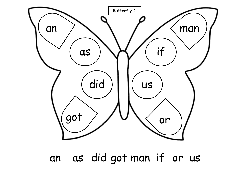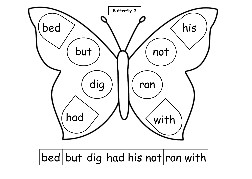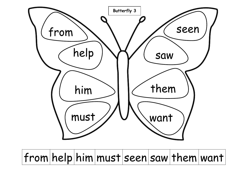

 $from |help | him | must | seen | saw | them | want$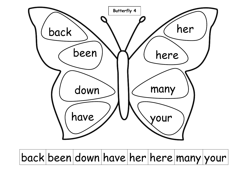

## back been down have her here many your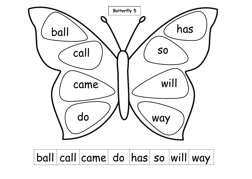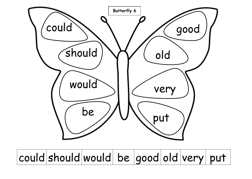

# could should would be good old very put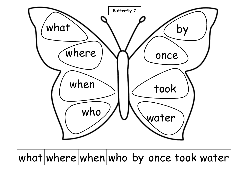

#### $what|where|when|who|by|once|took|water$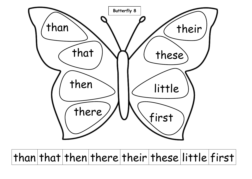

 $than |that|then|there|their|these|little|first$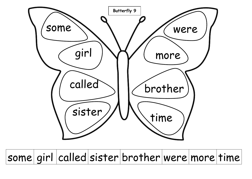

some girl called sister brother were more time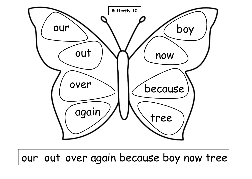

our out over again because boy now tree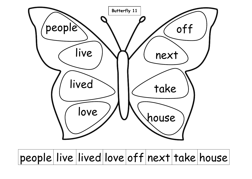

### people live lived love off next take house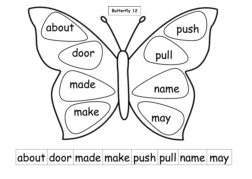

about door made make push pull name may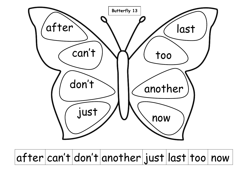

#### $after|can't|don't|another|just|last|too|now$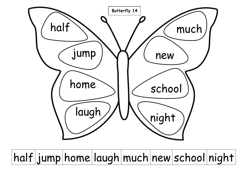

half jump home laugh much new school night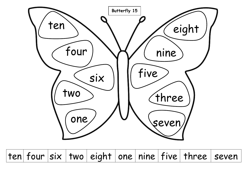

 $t$ ten four six two eight one nine five three seven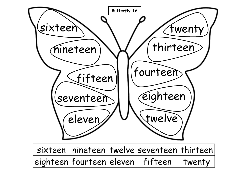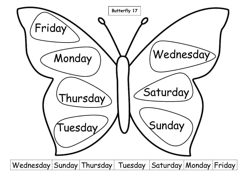

Wednesday Sunday Thursday Tuesday Saturday Monday Friday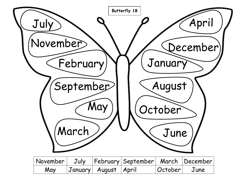